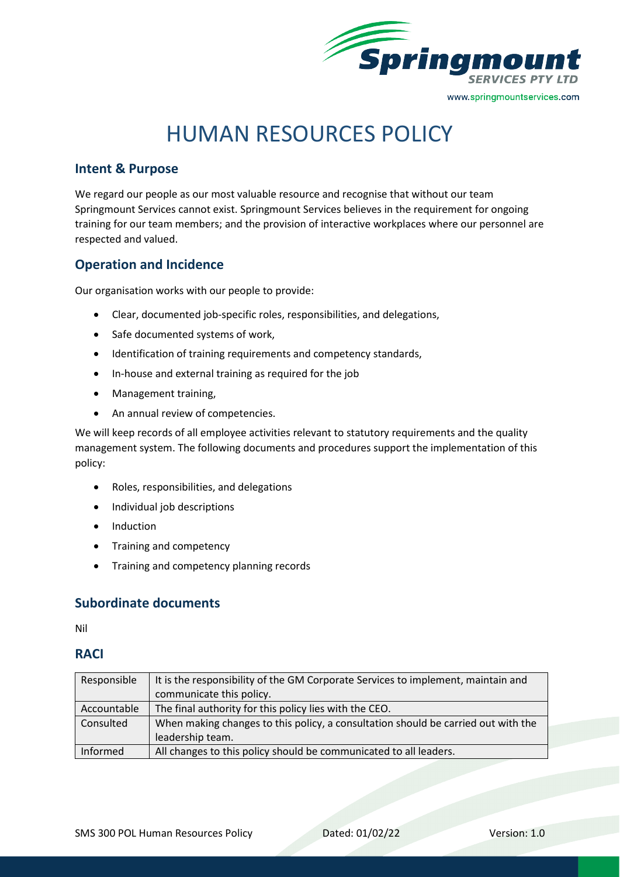

# HUMAN RESOURCES POLICY

# **Intent & Purpose**

We regard our people as our most valuable resource and recognise that without our team Springmount Services cannot exist. Springmount Services believes in the requirement for ongoing training for our team members; and the provision of interactive workplaces where our personnel are respected and valued.

# **Operation and Incidence**

Our organisation works with our people to provide:

- Clear, documented job-specific roles, responsibilities, and delegations,
- Safe documented systems of work,
- Identification of training requirements and competency standards,
- In-house and external training as required for the job
- Management training,
- An annual review of competencies.

We will keep records of all employee activities relevant to statutory requirements and the quality management system. The following documents and procedures support the implementation of this policy:

- Roles, responsibilities, and delegations
- Individual job descriptions
- Induction
- Training and competency
- Training and competency planning records

### **Subordinate documents**

Nil

### **RACI**

| Responsible | It is the responsibility of the GM Corporate Services to implement, maintain and  |
|-------------|-----------------------------------------------------------------------------------|
|             | communicate this policy.                                                          |
| Accountable | The final authority for this policy lies with the CEO.                            |
| Consulted   | When making changes to this policy, a consultation should be carried out with the |
|             | leadership team.                                                                  |
| Informed    | All changes to this policy should be communicated to all leaders.                 |